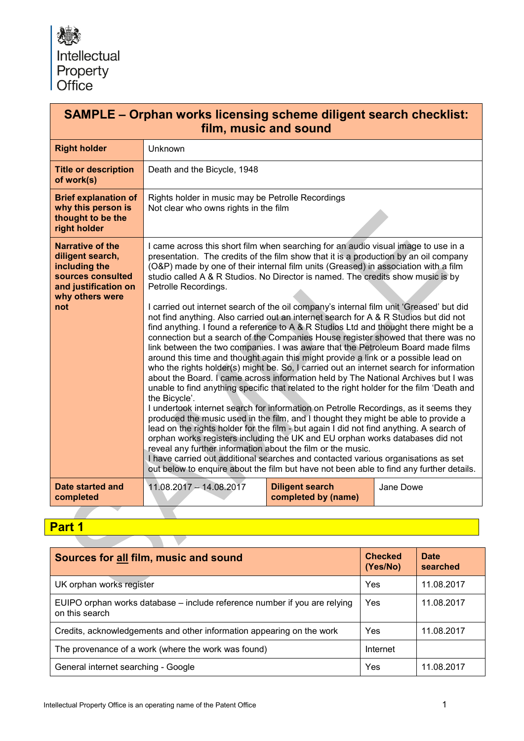

| <b>SAMPLE - Orphan works licensing scheme diligent search checklist:</b><br>film, music and sound                                   |                                                                                                                                                                                                                                                                                                                                                                                                                                                                                                                                                                                                                                                                                                                                                                                                                                                                                                                                                                                                                                                                                                                                                                                                                                                                                                                                                                                                                                                                                                                                                                                                                                                                                                                                                                                                                              |                                               |           |  |  |
|-------------------------------------------------------------------------------------------------------------------------------------|------------------------------------------------------------------------------------------------------------------------------------------------------------------------------------------------------------------------------------------------------------------------------------------------------------------------------------------------------------------------------------------------------------------------------------------------------------------------------------------------------------------------------------------------------------------------------------------------------------------------------------------------------------------------------------------------------------------------------------------------------------------------------------------------------------------------------------------------------------------------------------------------------------------------------------------------------------------------------------------------------------------------------------------------------------------------------------------------------------------------------------------------------------------------------------------------------------------------------------------------------------------------------------------------------------------------------------------------------------------------------------------------------------------------------------------------------------------------------------------------------------------------------------------------------------------------------------------------------------------------------------------------------------------------------------------------------------------------------------------------------------------------------------------------------------------------------|-----------------------------------------------|-----------|--|--|
| <b>Right holder</b>                                                                                                                 | Unknown                                                                                                                                                                                                                                                                                                                                                                                                                                                                                                                                                                                                                                                                                                                                                                                                                                                                                                                                                                                                                                                                                                                                                                                                                                                                                                                                                                                                                                                                                                                                                                                                                                                                                                                                                                                                                      |                                               |           |  |  |
| <b>Title or description</b><br>of work(s)                                                                                           | Death and the Bicycle, 1948                                                                                                                                                                                                                                                                                                                                                                                                                                                                                                                                                                                                                                                                                                                                                                                                                                                                                                                                                                                                                                                                                                                                                                                                                                                                                                                                                                                                                                                                                                                                                                                                                                                                                                                                                                                                  |                                               |           |  |  |
| <b>Brief explanation of</b><br>why this person is<br>thought to be the<br>right holder                                              | Rights holder in music may be Petrolle Recordings<br>Not clear who owns rights in the film                                                                                                                                                                                                                                                                                                                                                                                                                                                                                                                                                                                                                                                                                                                                                                                                                                                                                                                                                                                                                                                                                                                                                                                                                                                                                                                                                                                                                                                                                                                                                                                                                                                                                                                                   |                                               |           |  |  |
| <b>Narrative of the</b><br>diligent search,<br>including the<br>sources consulted<br>and justification on<br>why others were<br>not | I came across this short film when searching for an audio visual image to use in a<br>presentation. The credits of the film show that it is a production by an oil company<br>(O&P) made by one of their internal film units (Greased) in association with a film<br>studio called A & R Studios. No Director is named. The credits show music is by<br>Petrolle Recordings.<br>I carried out internet search of the oil company's internal film unit 'Greased' but did<br>not find anything. Also carried out an internet search for A & R Studios but did not<br>find anything. I found a reference to A & R Studios Ltd and thought there might be a<br>connection but a search of the Companies House register showed that there was no<br>link between the two companies. I was aware that the Petroleum Board made films<br>around this time and thought again this might provide a link or a possible lead on<br>who the rights holder(s) might be. So, I carried out an internet search for information<br>about the Board. I came across information held by The National Archives but I was<br>unable to find anything specific that related to the right holder for the film 'Death and<br>the Bicycle'.<br>I undertook internet search for information on Petrolle Recordings, as it seems they<br>produced the music used in the film, and I thought they might be able to provide a<br>lead on the rights holder for the film - but again I did not find anything. A search of<br>orphan works registers including the UK and EU orphan works databases did not<br>reveal any further information about the film or the music.<br>I have carried out additional searches and contacted various organisations as set<br>out below to enquire about the film but have not been able to find any further details. |                                               |           |  |  |
| Date started and<br>completed                                                                                                       | 11.08.2017 - 14.08.2017                                                                                                                                                                                                                                                                                                                                                                                                                                                                                                                                                                                                                                                                                                                                                                                                                                                                                                                                                                                                                                                                                                                                                                                                                                                                                                                                                                                                                                                                                                                                                                                                                                                                                                                                                                                                      | <b>Diligent search</b><br>completed by (name) | Jane Dowe |  |  |

## **Part 1**

| Sources for all film, music and sound                                                       | <b>Checked</b><br>(Yes/No) | <b>Date</b><br>searched |  |  |
|---------------------------------------------------------------------------------------------|----------------------------|-------------------------|--|--|
| UK orphan works register                                                                    | Yes                        | 11.08.2017              |  |  |
| EUIPO orphan works database – include reference number if you are relying<br>on this search | Yes                        | 11.08.2017              |  |  |
| Credits, acknowledgements and other information appearing on the work                       | Yes                        | 11.08.2017              |  |  |
| The provenance of a work (where the work was found)                                         | Internet                   |                         |  |  |
| General internet searching - Google                                                         | Yes                        | 11.08.2017              |  |  |

٦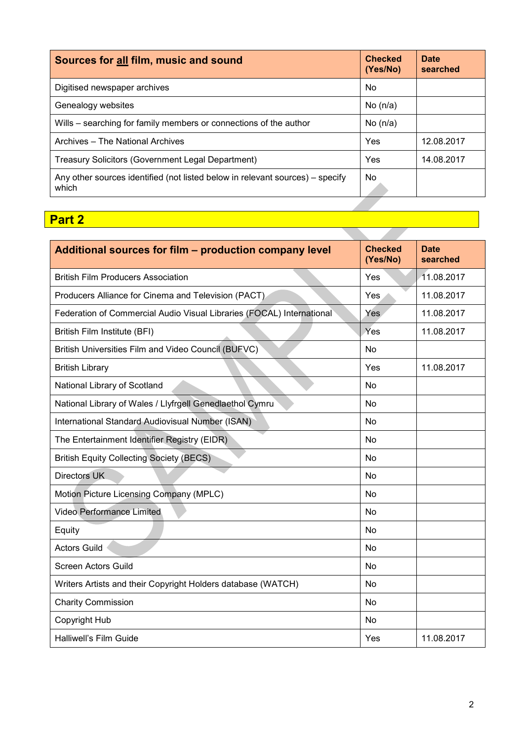| Sources for all film, music and sound                                                  | <b>Checked</b><br>(Yes/No) | Date<br>searched |
|----------------------------------------------------------------------------------------|----------------------------|------------------|
| Digitised newspaper archives                                                           | No.                        |                  |
| Genealogy websites                                                                     | No $(n/a)$                 |                  |
| Wills - searching for family members or connections of the author                      | No $(n/a)$                 |                  |
| Archives – The National Archives                                                       | Yes                        | 12.08.2017       |
| <b>Treasury Solicitors (Government Legal Department)</b>                               | Yes                        | 14.08.2017       |
| Any other sources identified (not listed below in relevant sources) – specify<br>which | No.                        |                  |
|                                                                                        |                            |                  |
| <b>Part 2</b>                                                                          |                            |                  |

**Service** 

## **Part 2**

| Additional sources for film – production company level                |           | <b>Date</b><br>searched |
|-----------------------------------------------------------------------|-----------|-------------------------|
| <b>British Film Producers Association</b>                             | Yes       | 11.08.2017              |
| Producers Alliance for Cinema and Television (PACT)                   | Yes       | 11.08.2017              |
| Federation of Commercial Audio Visual Libraries (FOCAL) International | Yes       | 11.08.2017              |
| British Film Institute (BFI)                                          | Yes       | 11.08.2017              |
| British Universities Film and Video Council (BUFVC)                   | <b>No</b> |                         |
| <b>British Library</b>                                                | Yes       | 11.08.2017              |
| National Library of Scotland                                          | No        |                         |
| National Library of Wales / Llyfrgell Genedlaethol Cymru              | <b>No</b> |                         |
| International Standard Audiovisual Number (ISAN)                      | <b>No</b> |                         |
| The Entertainment Identifier Registry (EIDR)                          | No        |                         |
| <b>British Equity Collecting Society (BECS)</b>                       | <b>No</b> |                         |
| <b>Directors UK</b>                                                   | <b>No</b> |                         |
| Motion Picture Licensing Company (MPLC)                               | <b>No</b> |                         |
| <b>Video Performance Limited</b>                                      | No        |                         |
| Equity                                                                | No        |                         |
| <b>Actors Guild</b>                                                   | No        |                         |
| <b>Screen Actors Guild</b>                                            | No        |                         |
| Writers Artists and their Copyright Holders database (WATCH)          | <b>No</b> |                         |
| <b>Charity Commission</b>                                             | <b>No</b> |                         |
| <b>Copyright Hub</b>                                                  | No        |                         |
| Halliwell's Film Guide                                                | Yes       | 11.08.2017              |